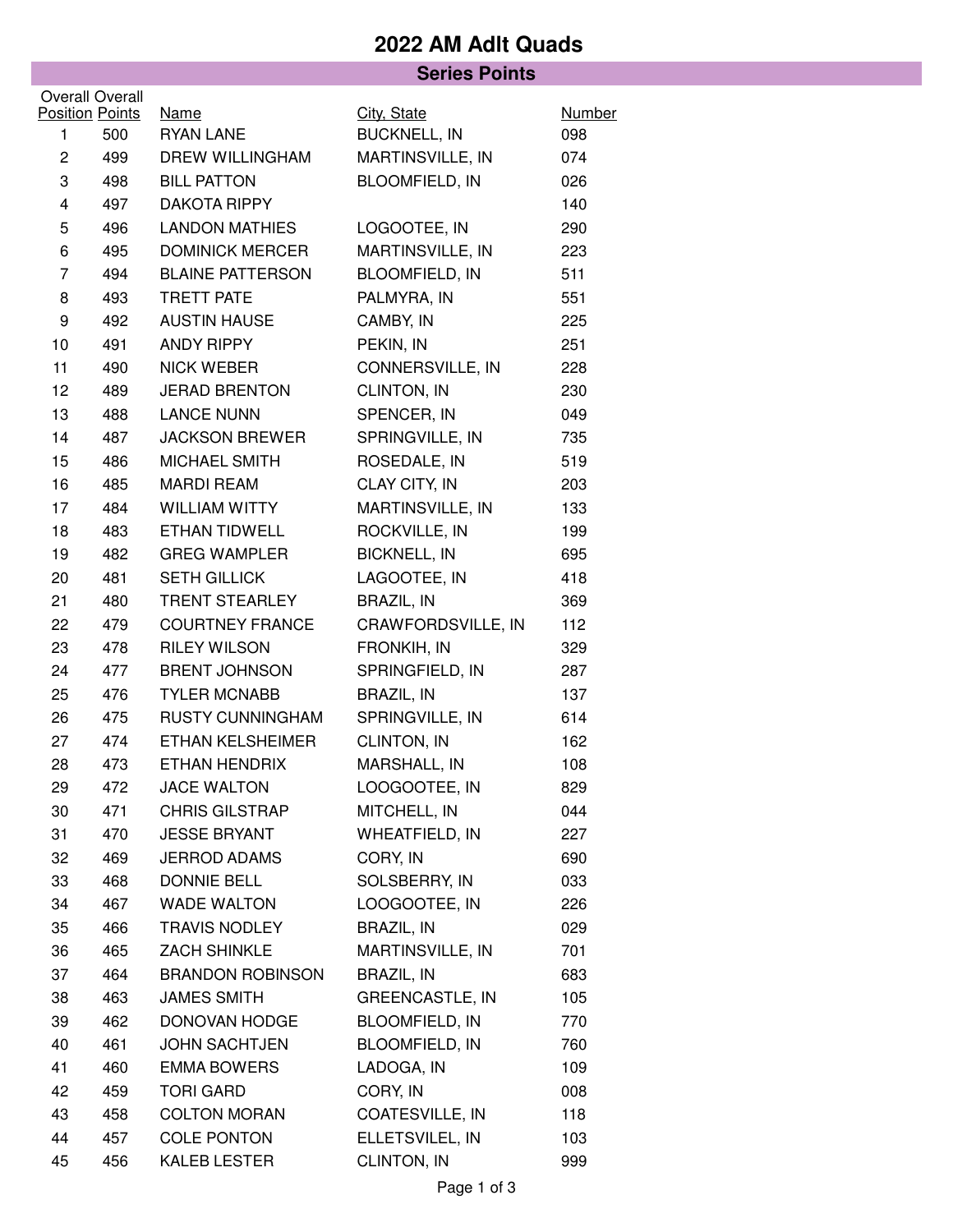### **2022 AM Adlt Quads**

#### **Series Points Position Points** Overall Overall Name City, State Number 1 500 RYAN LANE BUCKNELL, IN 098 2 499 DREW WILLINGHAM MARTINSVILLE, IN 074 3 498 BILL PATTON BLOOMFIELD, IN 026 4 497 DAKOTA RIPPY 140 5 496 LANDON MATHIES LOGOOTEE, IN 290 6 495 DOMINICK MERCER MARTINSVILLE, IN 223 7 494 BLAINE PATTERSON BLOOMFIELD, IN 511 8 493 TRETT PATE PALMYRA, IN 551 9 492 AUSTIN HAUSE CAMBY, IN 225 10 491 ANDY RIPPY PEKIN. IN 251 11 490 NICK WEBER CONNERSVILLE, IN 228 12 489 JERAD BRENTON CLINTON, IN 230 13 488 LANCE NUNN SPENCER, IN 049 14 487 JACKSON BREWER SPRINGVILLE, IN 735 15 486 MICHAEL SMITH ROSEDALE, IN 519 16 485 MARDI REAM CLAY CITY, IN 203 17 484 WILLIAM WITTY MARTINSVILLE, IN 133 18 483 ETHAN TIDWELL ROCKVILLE, IN 199 19 482 GREG WAMPLER BICKNELL, IN 695 20 481 SETH GILLICK LAGOOTEE, IN 418 21 480 TRENT STEARLEY BRAZIL, IN 369 22 479 COURTNEY FRANCE CRAWFORDSVILLE, IN 112 23 478 RILEY WILSON FRONKIH, IN 329 24 477 BRENT JOHNSON SPRINGFIELD, IN 287 25 476 TYLER MCNABB BRAZIL, IN 137 26 475 RUSTY CUNNINGHAM SPRINGVILLE, IN 614 27 474 ETHAN KELSHEIMER CLINTON, IN 162 28 473 ETHAN HENDRIX MARSHALL, IN 108 29 472 JACE WALTON LOOGOOTEE, IN 829 30 471 CHRIS GILSTRAP MITCHELL, IN 044 31 470 JESSE BRYANT WHEATFIELD, IN 227 32 469 JERROD ADAMS CORY, IN 690 33 468 DONNIE BELL SOLSBERRY, IN 033 34 467 WADE WALTON LOOGOOTEE, IN 226 35 466 TRAVIS NODLEY BRAZIL, IN 029 36 465 ZACH SHINKLE MARTINSVILLE, IN 701 37 464 BRANDON ROBINSON BRAZIL, IN 683 38 463 JAMES SMITH GREENCASTLE, IN 105 39 462 DONOVAN HODGE BLOOMFIELD, IN 770 40 461 JOHN SACHTJEN BLOOMFIELD, IN 760 41 460 EMMA BOWERS LADOGA, IN 109 42 459 TORI GARD CORY, IN 008 43 458 COLTON MORAN COATESVILLE, IN 118 44 457 COLE PONTON ELLETSVILEL, IN 103 45 456 KALEB LESTER CLINTON, IN 999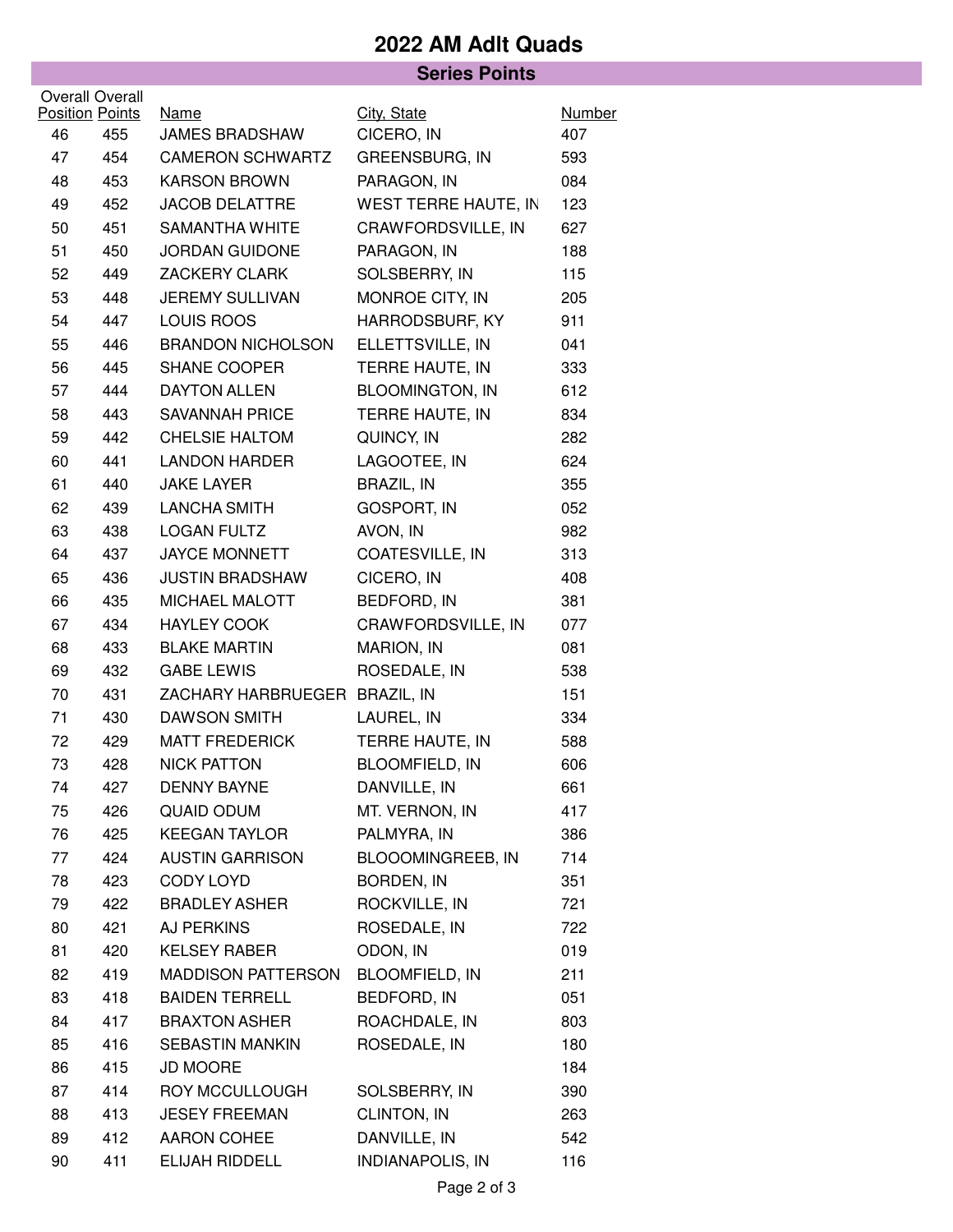# **2022 AM Adlt Quads**

#### **Series Points**

|    | Overall Overall               |                                      |                             |                      |
|----|-------------------------------|--------------------------------------|-----------------------------|----------------------|
| 46 | <b>Position Points</b><br>455 | <u>Name</u><br><b>JAMES BRADSHAW</b> | City, State<br>CICERO, IN   | <b>Number</b><br>407 |
| 47 | 454                           | <b>CAMERON SCHWARTZ</b>              | GREENSBURG, IN              | 593                  |
| 48 | 453                           | <b>KARSON BROWN</b>                  | PARAGON, IN                 | 084                  |
| 49 | 452                           | <b>JACOB DELATTRE</b>                | <b>WEST TERRE HAUTE, IN</b> | 123                  |
| 50 | 451                           | <b>SAMANTHA WHITE</b>                | CRAWFORDSVILLE, IN          | 627                  |
|    |                               | <b>JORDAN GUIDONE</b>                |                             |                      |
| 51 | 450                           |                                      | PARAGON, IN                 | 188                  |
| 52 | 449                           | <b>ZACKERY CLARK</b>                 | SOLSBERRY, IN               | 115                  |
| 53 | 448                           | <b>JEREMY SULLIVAN</b>               | MONROE CITY, IN             | 205                  |
| 54 | 447                           | LOUIS ROOS                           | HARRODSBURF, KY             | 911                  |
| 55 | 446                           | <b>BRANDON NICHOLSON</b>             | ELLETTSVILLE, IN            | 041                  |
| 56 | 445                           | SHANE COOPER                         | TERRE HAUTE, IN             | 333                  |
| 57 | 444                           | <b>DAYTON ALLEN</b>                  | <b>BLOOMINGTON, IN</b>      | 612                  |
| 58 | 443                           | <b>SAVANNAH PRICE</b>                | TERRE HAUTE, IN             | 834                  |
| 59 | 442                           | <b>CHELSIE HALTOM</b>                | QUINCY, IN                  | 282                  |
| 60 | 441                           | <b>LANDON HARDER</b>                 | LAGOOTEE, IN                | 624                  |
| 61 | 440                           | <b>JAKE LAYER</b>                    | <b>BRAZIL, IN</b>           | 355                  |
| 62 | 439                           | <b>LANCHA SMITH</b>                  | <b>GOSPORT, IN</b>          | 052                  |
| 63 | 438                           | <b>LOGAN FULTZ</b>                   | AVON, IN                    | 982                  |
| 64 | 437                           | <b>JAYCE MONNETT</b>                 | COATESVILLE, IN             | 313                  |
| 65 | 436                           | <b>JUSTIN BRADSHAW</b>               | CICERO, IN                  | 408                  |
| 66 | 435                           | MICHAEL MALOTT                       | <b>BEDFORD, IN</b>          | 381                  |
| 67 | 434                           | <b>HAYLEY COOK</b>                   | CRAWFORDSVILLE, IN          | 077                  |
| 68 | 433                           | <b>BLAKE MARTIN</b>                  | MARION, IN                  | 081                  |
| 69 | 432                           | <b>GABE LEWIS</b>                    | ROSEDALE, IN                | 538                  |
| 70 | 431                           | ZACHARY HARBRUEGER BRAZIL, IN        |                             | 151                  |
| 71 | 430                           | <b>DAWSON SMITH</b>                  | LAUREL, IN                  | 334                  |
| 72 | 429                           | <b>MATT FREDERICK</b>                | TERRE HAUTE, IN             | 588                  |
| 73 | 428                           | <b>NICK PATTON</b>                   | <b>BLOOMFIELD, IN</b>       | 606                  |
| 74 | 427                           | <b>DENNY BAYNE</b>                   | DANVILLE, IN                | 661                  |
| 75 | 426                           | <b>QUAID ODUM</b>                    | MT. VERNON, IN              | 417                  |
| 76 | 425                           | <b>KEEGAN TAYLOR</b>                 | PALMYRA, IN                 | 386                  |
| 77 | 424                           | <b>AUSTIN GARRISON</b>               | BLOOOMINGREEB, IN           | 714                  |
| 78 | 423                           | CODY LOYD                            | BORDEN, IN                  | 351                  |
| 79 | 422                           | <b>BRADLEY ASHER</b>                 | ROCKVILLE, IN               | 721                  |
| 80 | 421                           | AJ PERKINS                           | ROSEDALE, IN                | 722                  |
| 81 | 420                           | <b>KELSEY RABER</b>                  | ODON, IN                    | 019                  |
| 82 | 419                           | MADDISON PATTERSON                   | BLOOMFIELD, IN              | 211                  |
| 83 | 418                           | <b>BAIDEN TERRELL</b>                | BEDFORD, IN                 | 051                  |
| 84 | 417                           | <b>BRAXTON ASHER</b>                 | ROACHDALE, IN               | 803                  |
| 85 | 416                           | SEBASTIN MANKIN                      | ROSEDALE, IN                | 180                  |
| 86 | 415                           | <b>JD MOORE</b>                      |                             | 184                  |
| 87 | 414                           | ROY MCCULLOUGH                       | SOLSBERRY, IN               | 390                  |
| 88 | 413                           | <b>JESEY FREEMAN</b>                 | CLINTON, IN                 | 263                  |
| 89 | 412                           | AARON COHEE                          | DANVILLE, IN                | 542                  |
| 90 | 411                           | ELIJAH RIDDELL                       | <b>INDIANAPOLIS, IN</b>     | 116                  |
|    |                               |                                      |                             |                      |